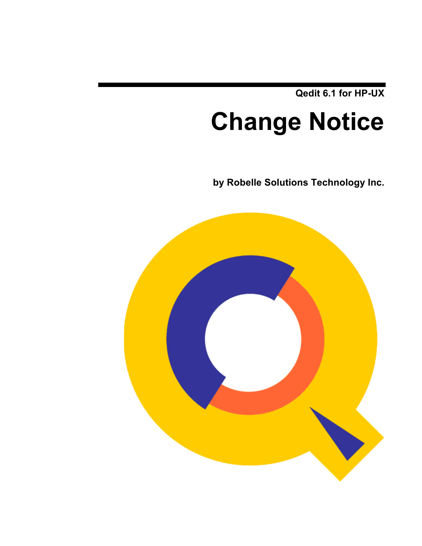**Qedit 6.1 for HP-UX**

# **Change Notice**

**by Robelle Solutions Technology Inc.**

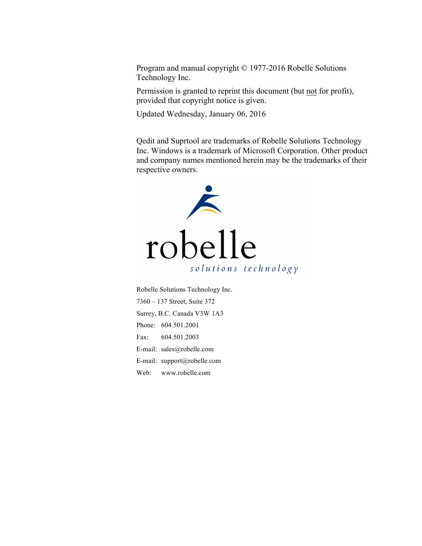Program and manual copyright © 1977-2016 Robelle Solutions Technology Inc.

Permission is granted to reprint this document (but not for profit), provided that copyright notice is given.

Updated Wednesday, January 06, 2016

Qedit and Suprtool are trademarks of Robelle Solutions Technology Inc. Windows is a trademark of Microsoft Corporation. Other product and company names mentioned herein may be the trademarks of their respective owners.



Robelle Solutions Technology Inc. 7360 – 137 Street, Suite 372 Surrey, B.C. Canada V3W 1A3 Phone: 604.501.2001 Fax: 604.501.2003 E-mail: sales@robelle.com E-mail: support@robelle.com Web: www.robelle.com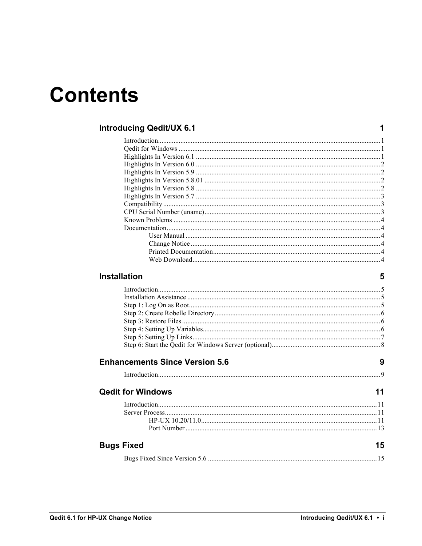## **Contents**

### **Introducing Qedit/UX 6.1**

#### **Installation**

 $\overline{\mathbf{5}}$ 

 $\mathbf 1$ 

| <b>Enhancements Since Version 5.6</b> | 9  |
|---------------------------------------|----|
|                                       |    |
| <b>Qedit for Windows</b>              | 11 |
|                                       |    |
|                                       |    |
|                                       |    |
|                                       |    |
| <b>Bugs Fixed</b>                     | 15 |
|                                       |    |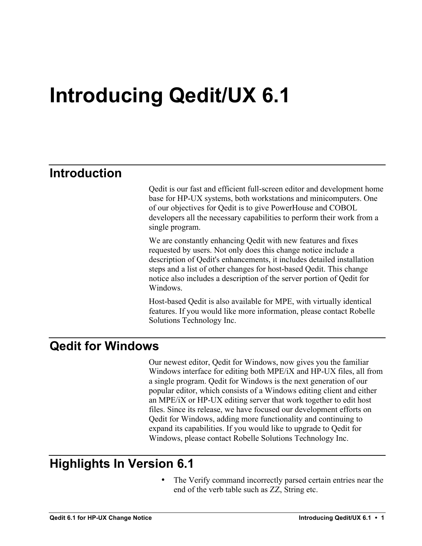## **Introducing Qedit/UX 6.1**

### **Introduction**

Qedit is our fast and efficient full-screen editor and development home base for HP-UX systems, both workstations and minicomputers. One of our objectives for Qedit is to give PowerHouse and COBOL developers all the necessary capabilities to perform their work from a single program.

We are constantly enhancing Qedit with new features and fixes requested by users. Not only does this change notice include a description of Qedit's enhancements, it includes detailed installation steps and a list of other changes for host-based Qedit. This change notice also includes a description of the server portion of Qedit for Windows.

Host-based Qedit is also available for MPE, with virtually identical features. If you would like more information, please contact Robelle Solutions Technology Inc.

### **Qedit for Windows**

Our newest editor, Qedit for Windows, now gives you the familiar Windows interface for editing both MPE/iX and HP-UX files, all from a single program. Qedit for Windows is the next generation of our popular editor, which consists of a Windows editing client and either an MPE/iX or HP-UX editing server that work together to edit host files. Since its release, we have focused our development efforts on Qedit for Windows, adding more functionality and continuing to expand its capabilities. If you would like to upgrade to Qedit for Windows, please contact Robelle Solutions Technology Inc.

### **Highlights In Version 6.1**

The Verify command incorrectly parsed certain entries near the end of the verb table such as ZZ, String etc.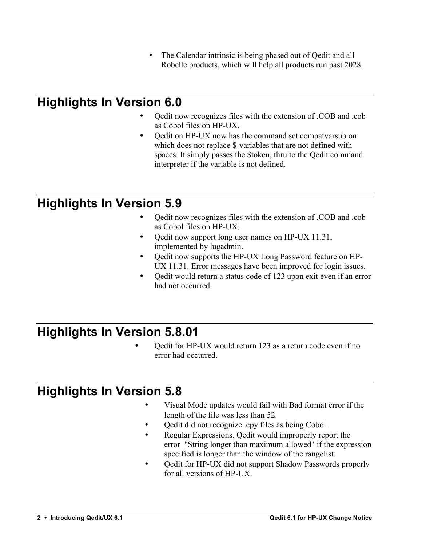• The Calendar intrinsic is being phased out of Qedit and all Robelle products, which will help all products run past 2028.

## **Highlights In Version 6.0**

- Qedit now recognizes files with the extension of .COB and .cob as Cobol files on HP-UX.
- Qedit on HP-UX now has the command set compatvarsub on which does not replace \$-variables that are not defined with spaces. It simply passes the \$token, thru to the Qedit command interpreter if the variable is not defined.

## **Highlights In Version 5.9**

- Qedit now recognizes files with the extension of .COB and .cob as Cobol files on HP-UX.
- Qedit now support long user names on HP-UX 11.31, implemented by lugadmin.
- Qedit now supports the HP-UX Long Password feature on HP-UX 11.31. Error messages have been improved for login issues.
- Qedit would return a status code of 123 upon exit even if an error had not occurred.

### **Highlights In Version 5.8.01**

• Qedit for HP-UX would return 123 as a return code even if no error had occurred.

### **Highlights In Version 5.8**

- Visual Mode updates would fail with Bad format error if the length of the file was less than 52.
- Qedit did not recognize .cpy files as being Cobol.
- Regular Expressions. Qedit would improperly report the error "String longer than maximum allowed" if the expression specified is longer than the window of the rangelist.
- Qedit for HP-UX did not support Shadow Passwords properly for all versions of HP-UX.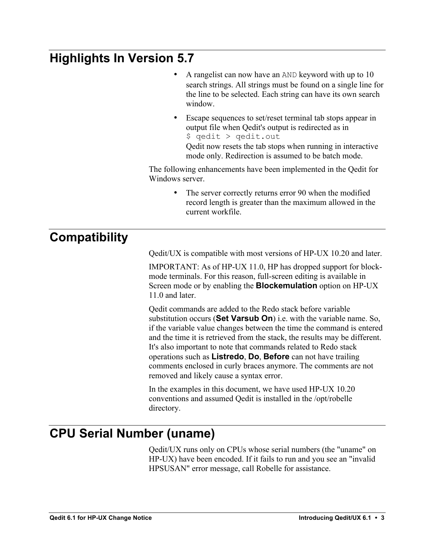## **Highlights In Version 5.7**

- A rangelist can now have an AND keyword with up to 10 search strings. All strings must be found on a single line for the line to be selected. Each string can have its own search window.
- Escape sequences to set/reset terminal tab stops appear in output file when Qedit's output is redirected as in \$ qedit > qedit.out Qedit now resets the tab stops when running in interactive mode only. Redirection is assumed to be batch mode.

The following enhancements have been implemented in the Qedit for Windows server.

> • The server correctly returns error 90 when the modified record length is greater than the maximum allowed in the current workfile.

### **Compatibility**

Qedit/UX is compatible with most versions of HP-UX 10.20 and later.

IMPORTANT: As of HP-UX 11.0, HP has dropped support for blockmode terminals. For this reason, full-screen editing is available in Screen mode or by enabling the **Blockemulation** option on HP-UX 11.0 and later.

Qedit commands are added to the Redo stack before variable substitution occurs (**Set Varsub On**) i.e. with the variable name. So, if the variable value changes between the time the command is entered and the time it is retrieved from the stack, the results may be different. It's also important to note that commands related to Redo stack operations such as **Listredo**, **Do**, **Before** can not have trailing comments enclosed in curly braces anymore. The comments are not removed and likely cause a syntax error.

In the examples in this document, we have used HP-UX 10.20 conventions and assumed Qedit is installed in the /opt/robelle directory.

### **CPU Serial Number (uname)**

Qedit/UX runs only on CPUs whose serial numbers (the "uname" on HP-UX) have been encoded. If it fails to run and you see an "invalid HPSUSAN" error message, call Robelle for assistance.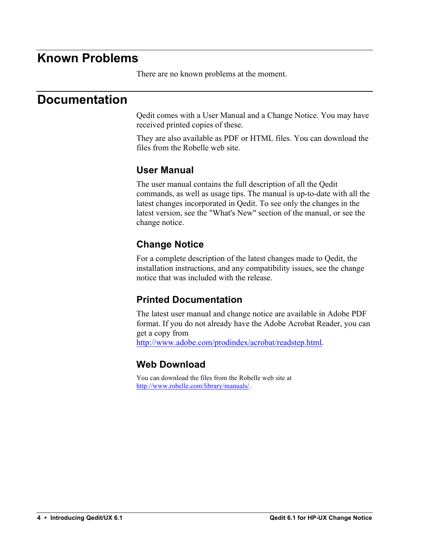### **Known Problems**

There are no known problems at the moment.

### **Documentation**

Qedit comes with a User Manual and a Change Notice. You may have received printed copies of these.

They are also available as PDF or HTML files. You can download the files from the Robelle web site.

#### **User Manual**

The user manual contains the full description of all the Qedit commands, as well as usage tips. The manual is up-to-date with all the latest changes incorporated in Qedit. To see only the changes in the latest version, see the "What's New" section of the manual, or see the change notice.

### **Change Notice**

For a complete description of the latest changes made to Qedit, the installation instructions, and any compatibility issues, see the change notice that was included with the release.

#### **Printed Documentation**

The latest user manual and change notice are available in Adobe PDF format. If you do not already have the Adobe Acrobat Reader, you can get a copy from http://www.adobe.com/prodindex/acrobat/readstep.html.

### **Web Download**

You can download the files from the Robelle web site at http://www.robelle.com/library/manuals/.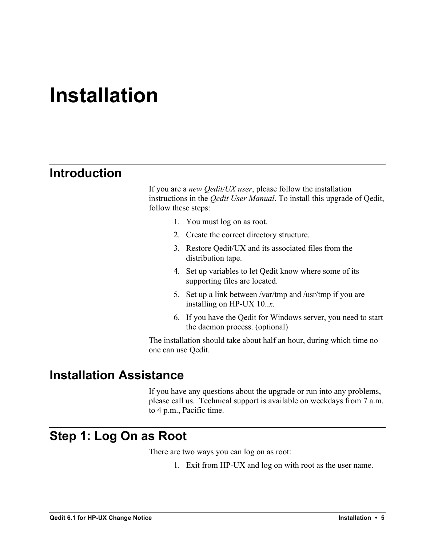## **Installation**

### **Introduction**

If you are a *new Qedit/UX user*, please follow the installation instructions in the *Qedit User Manual*. To install this upgrade of Qedit, follow these steps:

- 1. You must log on as root.
- 2. Create the correct directory structure.
- 3. Restore Qedit/UX and its associated files from the distribution tape.
- 4. Set up variables to let Qedit know where some of its supporting files are located.
- 5. Set up a link between /var/tmp and /usr/tmp if you are installing on HP-UX 10..*x*.
- 6. If you have the Qedit for Windows server, you need to start the daemon process. (optional)

The installation should take about half an hour, during which time no one can use Qedit.

### **Installation Assistance**

If you have any questions about the upgrade or run into any problems, please call us. Technical support is available on weekdays from 7 a.m. to 4 p.m., Pacific time.

### **Step 1: Log On as Root**

There are two ways you can log on as root:

1. Exit from HP-UX and log on with root as the user name.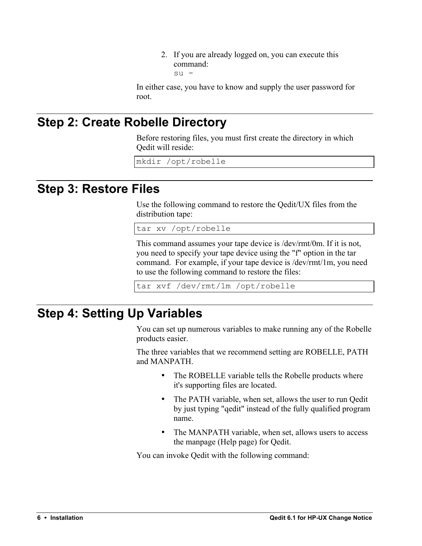2. If you are already logged on, you can execute this command: su -

In either case, you have to know and supply the user password for root.

## **Step 2: Create Robelle Directory**

Before restoring files, you must first create the directory in which Qedit will reside:

mkdir /opt/robelle

### **Step 3: Restore Files**

Use the following command to restore the Qedit/UX files from the distribution tape:

tar xv /opt/robelle

This command assumes your tape device is /dev/rmt/0m. If it is not, you need to specify your tape device using the "f" option in the tar command. For example, if your tape device is /dev/rmt/1m, you need to use the following command to restore the files:

tar xvf /dev/rmt/1m /opt/robelle

### **Step 4: Setting Up Variables**

You can set up numerous variables to make running any of the Robelle products easier.

The three variables that we recommend setting are ROBELLE, PATH and MANPATH.

- The ROBELLE variable tells the Robelle products where it's supporting files are located.
- The PATH variable, when set, allows the user to run Oedit by just typing "qedit" instead of the fully qualified program name.
- The MANPATH variable, when set, allows users to access the manpage (Help page) for Qedit.

You can invoke Qedit with the following command: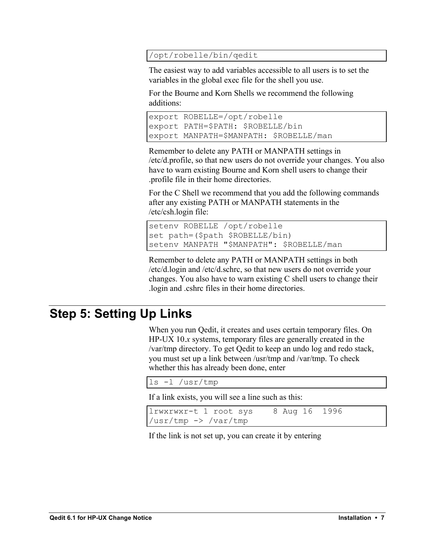#### /opt/robelle/bin/qedit

The easiest way to add variables accessible to all users is to set the variables in the global exec file for the shell you use.

For the Bourne and Korn Shells we recommend the following additions:

```
export ROBELLE=/opt/robelle
export PATH=$PATH: $ROBELLE/bin
export MANPATH=$MANPATH: $ROBELLE/man
```
Remember to delete any PATH or MANPATH settings in /etc/d.profile, so that new users do not override your changes. You also have to warn existing Bourne and Korn shell users to change their .profile file in their home directories.

For the C Shell we recommend that you add the following commands after any existing PATH or MANPATH statements in the /etc/csh.login file:

```
setenv ROBELLE /opt/robelle
set path=($path $ROBELLE/bin)
setenv MANPATH "$MANPATH": $ROBELLE/man
```
Remember to delete any PATH or MANPATH settings in both /etc/d.login and /etc/d.schrc, so that new users do not override your changes. You also have to warn existing C shell users to change their .login and .cshrc files in their home directories.

### **Step 5: Setting Up Links**

When you run Qedit, it creates and uses certain temporary files. On HP-UX 10.*x* systems, temporary files are generally created in the /var/tmp directory. To get Qedit to keep an undo log and redo stack, you must set up a link between /usr/tmp and /var/tmp. To check whether this has already been done, enter

```
ls -l /usr/tmp
```
If a link exists, you will see a line such as this:

```
lrwxrwxr-t 1 root sys 8 Aug 16 1996 
/usr/tmp -> /var/tmp
```
If the link is not set up, you can create it by entering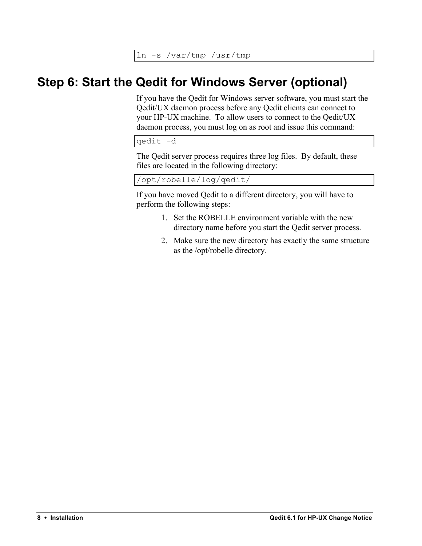ln -s /var/tmp /usr/tmp

## **Step 6: Start the Qedit for Windows Server (optional)**

If you have the Qedit for Windows server software, you must start the Qedit/UX daemon process before any Qedit clients can connect to your HP-UX machine. To allow users to connect to the Qedit/UX daemon process, you must log on as root and issue this command:

qedit -d

The Qedit server process requires three log files. By default, these files are located in the following directory:

/opt/robelle/log/qedit/

If you have moved Qedit to a different directory, you will have to perform the following steps:

- 1. Set the ROBELLE environment variable with the new directory name before you start the Qedit server process.
- 2. Make sure the new directory has exactly the same structure as the /opt/robelle directory.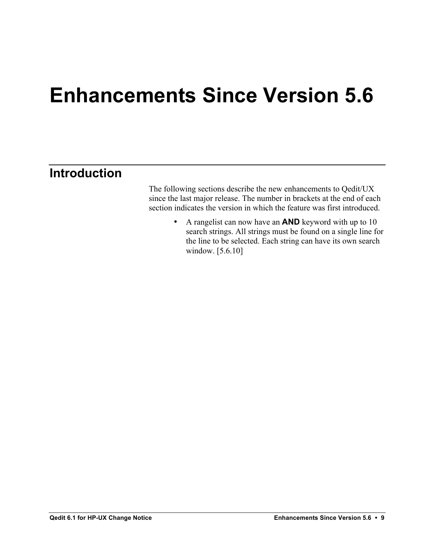## **Enhancements Since Version 5.6**

### **Introduction**

The following sections describe the new enhancements to Qedit/UX since the last major release. The number in brackets at the end of each section indicates the version in which the feature was first introduced.

> • A rangelist can now have an **AND** keyword with up to 10 search strings. All strings must be found on a single line for the line to be selected. Each string can have its own search window. [5.6.10]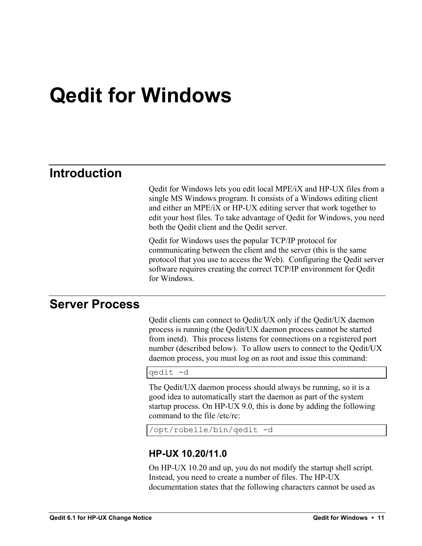## **Qedit for Windows**

### **Introduction**

Qedit for Windows lets you edit local MPE/iX and HP-UX files from a single MS Windows program. It consists of a Windows editing client and either an MPE/iX or HP-UX editing server that work together to edit your host files. To take advantage of Qedit for Windows, you need both the Qedit client and the Qedit server.

Qedit for Windows uses the popular TCP/IP protocol for communicating between the client and the server (this is the same protocol that you use to access the Web). Configuring the Qedit server software requires creating the correct TCP/IP environment for Qedit for Windows.

### **Server Process**

Qedit clients can connect to Qedit/UX only if the Qedit/UX daemon process is running (the Qedit/UX daemon process cannot be started from inetd). This process listens for connections on a registered port number (described below). To allow users to connect to the Qedit/UX daemon process, you must log on as root and issue this command:

qedit -d

The Qedit/UX daemon process should always be running, so it is a good idea to automatically start the daemon as part of the system startup process. On HP-UX 9.0, this is done by adding the following command to the file /etc/rc:

```
/opt/robelle/bin/qedit -d
```
#### **HP-UX 10.20/11.0**

On HP-UX 10.20 and up, you do not modify the startup shell script. Instead, you need to create a number of files. The HP-UX documentation states that the following characters cannot be used as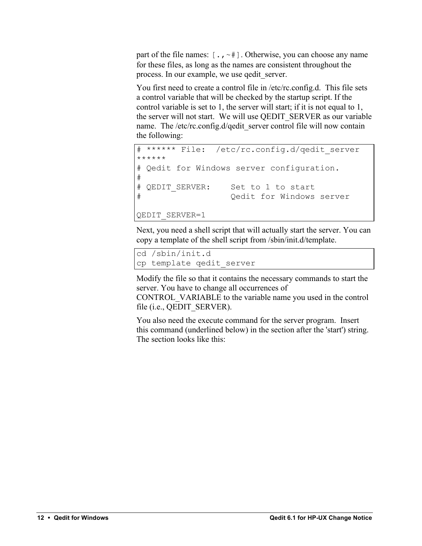part of the file names:  $[\cdot, \cdot]$ . Otherwise, you can choose any name for these files, as long as the names are consistent throughout the process. In our example, we use qedit\_server.

You first need to create a control file in /etc/rc.config.d. This file sets a control variable that will be checked by the startup script. If the control variable is set to 1, the server will start; if it is not equal to 1, the server will not start. We will use QEDIT\_SERVER as our variable name. The /etc/rc.config.d/qedit\_server control file will now contain the following:

```
****** File: /etc/rc.config.d/qedit server
******
# Qedit for Windows server configuration.
#
# QEDIT SERVER: Set to 1 to start
# Qedit for Windows server
QEDIT_SERVER=1
```
Next, you need a shell script that will actually start the server. You can copy a template of the shell script from /sbin/init.d/template.

```
cd /sbin/init.d
cp template qedit_server
```
Modify the file so that it contains the necessary commands to start the server. You have to change all occurrences of

CONTROL\_VARIABLE to the variable name you used in the control file (i.e., QEDIT\_SERVER).

You also need the execute command for the server program. Insert this command (underlined below) in the section after the 'start') string. The section looks like this: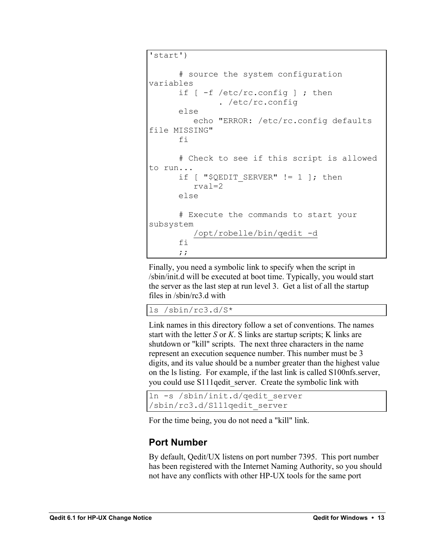```
'start')
       # source the system configuration 
variables
      if \lceil -f \rangle /etc/rc.config \lceil ; then
                 . /etc/rc.config
       else
           echo "ERROR: /etc/rc.config defaults 
file MISSING"
       fi
       # Check to see if this script is allowed 
to run...
      if [ "$QEDIT SERVER" != 1 ]; then
           rval=2
       else
       # Execute the commands to start your 
subsystem
           /opt/robelle/bin/qedit -d
       fi
       ;;
```
Finally, you need a symbolic link to specify when the script in /sbin/init.d will be executed at boot time. Typically, you would start the server as the last step at run level 3. Get a list of all the startup files in /sbin/rc3.d with

ls /sbin/rc3.d/S\*

Link names in this directory follow a set of conventions. The names start with the letter *S* or *K*. S links are startup scripts; K links are shutdown or "kill" scripts. The next three characters in the name represent an execution sequence number. This number must be 3 digits, and its value should be a number greater than the highest value on the ls listing. For example, if the last link is called S100nfs.server, you could use S111qedit server. Create the symbolic link with

```
ln -s /sbin/init.d/qedit_server 
/sbin/rc3.d/S111qedit_server
```
For the time being, you do not need a "kill" link.

### **Port Number**

By default, Qedit/UX listens on port number 7395. This port number has been registered with the Internet Naming Authority, so you should not have any conflicts with other HP-UX tools for the same port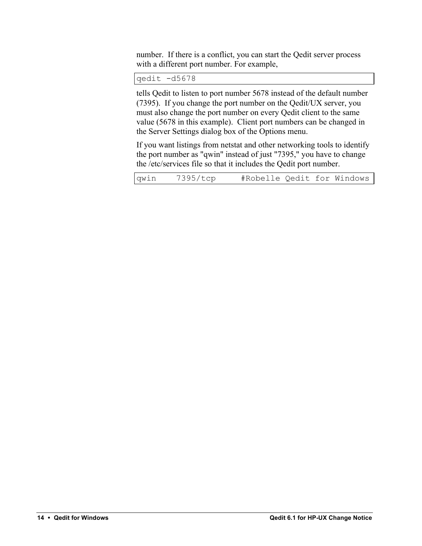number. If there is a conflict, you can start the Qedit server process with a different port number. For example,

qedit -d5678

tells Qedit to listen to port number 5678 instead of the default number (7395). If you change the port number on the Qedit/UX server, you must also change the port number on every Qedit client to the same value (5678 in this example). Client port numbers can be changed in the Server Settings dialog box of the Options menu.

If you want listings from netstat and other networking tools to identify the port number as "qwin" instead of just "7395," you have to change the /etc/services file so that it includes the Qedit port number.

|  | qwin | 7395/tcp | #Robelle Qedit for Windows |  |  |
|--|------|----------|----------------------------|--|--|
|--|------|----------|----------------------------|--|--|